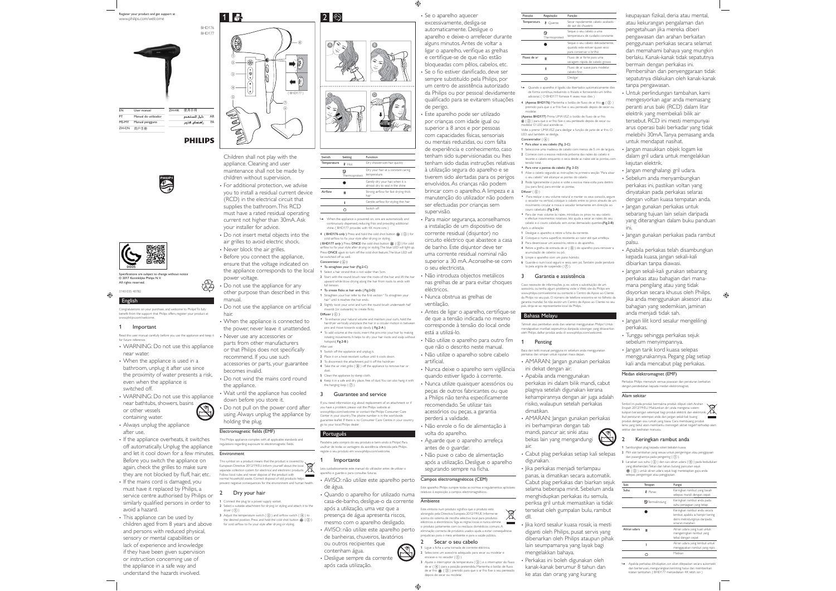

|                          |                      |       |               | BHD176<br>BHD177 |
|--------------------------|----------------------|-------|---------------|------------------|
|                          |                      |       |               |                  |
| $\overline{\mathsf{EN}}$ | User manual          | ZH-HK | 使用手冊          |                  |
| PT                       | Manual do utilizador |       | دليل المستخدم | AR               |
| MS-MY                    | Manual pengguna      |       | راهنمای کاربر | FA               |
| ZH-CN                    | 用户手册                 |       |               |                  |
|                          |                      |       | PHILIPS       |                  |





Specifications are subject to change without notice © 2017 Koninklijke Philips N.V. All rights reserved.

# **English** 3140 035 40782

Congratulations on your purchase, and welcome to Philips! To fully<br>benefit from the support that Philips offers, register your product at www.philips.com/welcome.

# 1 Important

Read this user manual carefully before you use the appliance and keep it for future reference.

- WARNING: Do not use this appliance near water.
- When the appliance is used in a bathroom, unplug it after use since the proximity of water presents a risk, even when the appliance is switched off.
- WARNING: Do not use this appliance near bathtubs, showers, basins or other vessels containing water.
- Always unplug the appliance after use.
- If the appliance overheats, it switches off automatically. Unplug the appliance and let it cool down for a few minutes. Before you switch the appliance on again, check the grilles to make sure they are not blocked by fluff, hair, etc.
- If the mains cord is damaged, you must have it replaced by Philips, a service centre authorised by Philips or similarly qualified persons in order to avoid a hazard.
- This appliance can be used by children aged from 8 years and above and persons with reduced physical, sensory or mental capabilities or lack of experience and knowledge if they have been given supervision or instruction concerning use of the appliance in a safe way and understand the hazards involved.



A B B B B B B B B B B B B B B B B B

Switch Setting Function Temperature  $\theta$  Hot

> $\Omega$ .  $\mathbf{r}$  $\overline{\circ}$

Thermoprotect

• To straighten your hair (Fig.2-C)<br>1 Select a hair strand that is not wider than 5cm. 2 Start with the round brush near the roots of the hair and lift the hair upward while blow drying along the hair from roots to ends with upward while blow drying along the hair from roots to ends with

Dry shower-wet hair quickly

Strong airflow for fast drying thick hair

When the appliance is powered on, ions are automatically and continuously dispensed, reducing frizz and providing additional shine. ( BHD177 provides with 4X more ions )  $4$  (BHD176 only ) Press and hold the cold shot button  $\Re$  (  $\widehat{2}$  ) for With fix your style after drying or styling  $(HID177 \text{ only})$  Press ONCE the cold shot button  $\mathcal{R}(R)$  ( $\Omega$ ) for cold  $\hat{\bm{x}}$  and  $\hat{\bm{x}}$  of  $\hat{\bm{x}}$  which we are dependent of  $\hat{\bm{x}}$  and  $\hat{\bm{x}}$  and  $\hat{\bm{x}}$  and  $\hat{\bm{x}}$  and  $\hat{\bm{x}}$ Press ONCE again to turn off the cold shot feature. The blue LED will

• To enhance your natural volume and maintain your curls, hold the hairdryer vertically and place the hair in a circular motion in between pins and move towards scalp slowly. (Fig.2-A)<br>• To add volume at the roots, insert the pins into your hair by making rotating movements. It helps to dry your hair roots and scalp without

6 Keep it in a safe and dry place, free of dust. You can also hang it with the hanging loop  $((\widehat{\mathcal{F}}))$ . 3 Guarantee and service If you need information e.g. about replacement of an attachment or if you have a problem, please visit the Philips website at www.philips.com/welcome or contact the Philips Consumer Care Center in your country.The phone number is in the worldwide suarantee leaflet. If there is no Consumer Care Centre in your countri

Parabéns pela compra do seu produto e bem-vindo à Philips! Para usufruir de todas as vantagens da assistência oferecida pela Philips, registe o seu produto em www.philips.com/welcome.

• AVISO: não utilize este aparelho perto

• Quando o aparelho for utilizado numa

de banheiras, chuveiros, lavatórios ou outros recipientes que contenham água. • Desligue sempre da corrente após cada utilização.

Dry your hair at a constant caring temperature Gently dry your hair, when it is almost dry to seal in the shine

Gentle airflow for styling thin hair Switch off

C

**Airflow** 

»

be switched off as well. Concentrator  $(\hat{\theta})$ 

full tension.• To create flicks at hair ends (Fig.2-D) 1 Straighten your bair refer to the first section." To straighten your ugnen your nameter to the m<br>" until it reaches the hair ends. 2 Slightly twist your wrist and turn the round brush underneath half .<br>ds (or outwards) to create flicks

 $Diff_{\text{Heter}}$   $(\widehat{S})$ 

hotspot.(Fig.2-B) After use:

go to your local Philips dealer. **Português** 

**Importante** Leia cuidadosamente este manual do utilizador antes de utilizar o aparelho e guarde-o para consultas futuras.

de água.

1 Switch off the appliance and unplug it. 2 Place it on a heat-resistant surface until it cools down.3 To disconnect the attachment, pull it off the hairdryer 4 Take the air inlet grille ( ® ) off the appliance to n 5 Clean the appliance by damp cloth.

**PS** 

Children shall not play with the appliance. Cleaning and user maintenance shall not be made by children without supervision. • For additional protection, we advise

- you to install a residual current device (RCD) in the electrical circuit that supplies the bathroom. This RCD must have a rated residual operating current not higher than 30mA. Ask your installer for advice.
- Do not insert metal objects into the air grilles to avoid electric shock. • Never block the air grilles.
- Before you connect the appliance.
	- ensure that the voltage indicated on the appliance corresponds to the local power voltage.
- Do not use the appliance for any other purpose than described in this manual.
- Do not use the appliance on artificial hair.
- When the appliance is connected to the power, never leave it unattended.
- Never use any accessories or parts from other manufacturers or that Philips does not specifically recommend. If you use such accessories or parts, your guarantee
- becomes invalid.• Do not wind the mains cord round
- the appliance. • Wait until the appliance has cooled down before you store it.
- Do not pull on the power cord after using. Always unplug the appliance by
- holding the plug.

# Electromagnetic fields (EMF)

This Philips appliance complies with all applicable standards and<br>regulations regarding exposure to electromagnetic fields.

# **Environment**

 This symbol on a product means that the product is covered by European Directive 2012/19/EU. Inform yourself about the local separate collection system for electrical and electronic products. Follow local rules and never dispose of the product with normal household waste. Correct disposal of old products help prevent negative consequences for the environment and human

### 2 Dry your hair

1 Connect the plug to a power supply socket. 2 Select a suitable attachment for drying or styling and attach it to the  $d$ ryer  $f(\widehat{\mathbf{T}})$ 

3 Adjust the temperature switch ( $\circled{3}$ ) and airflow switch ( $\circled{4}$ ) to red position. Press and hold the cold shot button  $\Phi \left( \, \widehat{ \right)$ IRL BERTOG PERSON TO THE STREET drying or styling.

- Se o aparelho aquecer excessivamente, desliga-se automaticamente. Desligue o aparelho e deixe-o arrefecer durante alguns minutos. Antes de voltar a ligar o aparelho, verifique as grelhas e certifique-se de que não estão bloqueadas com pêlos, cabelos, etc.
	- Se o fio estiver danificado, deve ser sempre substituído pela Philips, por um centro de assistência autorizado da Philips ou por pessoal devidamente qualificado para se evitarem situações de perigo.

• Este aparelho pode ser utilizado por crianças com idade igual ou superior a 8 anos e por pessoas com capacidades físicas, sensoriais ou mentais reduzidas, ou com falta de experiência e conhecimento, caso tenham sido supervisionadas ou lhes tenham sido dadas instruções relativas à utilização segura do aparelho e se tiverem sido alertadas para os perigos envolvidos. As crianças não podem brincar com o aparelho. A limpeza e a manutenção do utilizador não podem ser efectuadas por crianças sem supervisão.

- Para maior segurança, aconselhamos a instalação de um dispositivo de corrente residual (disjuntor) no circuito eléctrico que abastece a casa de banho. Este disjuntor deve ter uma corrente residual nominal não superior a 30 mA. Aconselhe-se com o seu electricista.
- Não introduza objectos metálicos nas grelhas de ar para evitar choques eléctricos.
- Nunca obstrua as grelhas de ventilação.
- Antes de ligar o aparelho, certifique-se de que a tensão indicada no mesmo corresponde à tensão do local onde está a utilizá-lo.
- Não utilize o aparelho para outro fim que não o descrito neste manual. • Não utilize o aparelho sobre cabelo
- artificial • Nunca deixe o aparelho sem vigilância quando estiver ligado à corrente.

• Nunca utilize quaisquer acessórios ou peças de outros fabricantes ou que a Philips não tenha especificamente recomendado. Se utilizar tais acessórios ou peças, a garantia perderá a validade.

• Não enrole o fio de alimentação à volta do aparelho.

- Aguarde que o aparelho arrefeça antes de o guardar.
- Não puxe o cabo de alimentação

# após a utilização. Desligue o aparelho segurando sempre na ficha.

### Campos electromagnéticos (CEM) Este aparelho Philips cumpre todas as normas e regula

relativos à exposição a campos electromagnéticos. Ambiente

casa-de-banho, desligue-o da corrente após a utilização, uma vez que a presença de água apresenta riscos, mesmo com o aparelho desligado. • AVISO: não utilize este aparelho perto Este símbolo num produto significa que o produto está<br>abrangido pela Directiva Europeia 2012/19/UE. Informe-se<br>acerca do sistema de recolha selectiva local para produtos eléctricos e electrónicos. Siga as regras locais e nunca elimine o produto juntamente com os resíduos domésticos comuns. A eliminação correcta de produtos usados ajuda a evitar consequências prejudiciais para o meio ambiente e para a saúde pública.

# 2 Secar o seu cabelo

depois de secar ou modelar.

1 Ligue a ficha a uma tomada de cor 2 Seleccione um acessório adequado para secar ou modelar e encaixe-o no secador ( 1 ). 3 Ajuste o interruptor da temperatura  $(\textcircled{3})$  e o interruptor do fluxo de ar  $(\textcircled{4})$  bara a posição pretendida. Mantenha o botão de fluxo de ar ( $\sigma$ ) para a posquo pretentitual rianterina o botao de nuxo<br>de ar frio  $\frac{60}{10}$  ( $\circled{2}$ ) premido para que o ar frio fixe o seu penteado

 $\boxtimes$ 

**The Contract** 

| Posicão     | Regulação          | Funcão<br>Secar rapidamente cabelo acabado<br>de sair do chuveiro                              |  |
|-------------|--------------------|------------------------------------------------------------------------------------------------|--|
| Temperatura | @ Ouente           |                                                                                                |  |
|             | Q<br>Thermoprotect | Seque o seu cabelo a uma<br>temperatura de cuidado constante                                   |  |
|             |                    | Seque o seu cabelo delicadamente,<br>quando este estiver quase seco<br>para conservar o brilho |  |
| Fluxo de an | п                  | Fluxo de ar forte para uma<br>secagem rápida de cabelo grosso                                  |  |
|             |                    | Fluxo de ar suave para modelar<br>cabelo fino                                                  |  |
|             |                    | Desligar                                                                                       |  |

 $\rightarrow$  Quando o aparelho é ligado, são libertados automaticamente iões de forma contínua, reduzindo o frisado e fornecendo um brilho<br>adicional. (O BHD177 fornece 4 vezes mais iões.)

- 4 (Apenas BHD176) Mantenha o botão de fluxo de ar frio  $\frac{3b}{N}$  (  $\widehat{2}$  ) SURFACTORY THROUGH SUBJECT DESIGNED OF DESIGNATIONS modelar.
- (Apenas BHD177) Prima UMA VEZ o botão de fluxo de ar frio  $\hat{w}$  ( $\widehat{D}$ ) nara que o ar frio fixe o seu nenteado denois de secar ou PRGHODU2/('DIXODFHQGHVH

volte a premir UMA VEZ para desligar a função de jacto de ar frio. O<br>LED azul também se desliga. Concentrador ( ദ്ര)<br>Concentrador ( ദ്ര)

## • Para alisar o seu cabelo (Fig. 2-C)

1 Seleccione uma madeixa de cabelo com menos de 5 cm de largura. 2 Comece com a escova redonda próxima das raízes do cabelo e levante o cabelo enquanto o seca desde as raízes até às pontas, com tensão total.

### Para virar a pontas do cabelo (Fig. 2-D)

- 1 Alise o cabelo segundo as instruções na primeira secção "Para alisar<br>o seu cabelo" até alcançar as pontas do cabelo. 2 Rode ligeiramente o pulso e volte a escova meia-volta para dentro
- (ou para fora) para enrolar as pontas.  $Difusion(\mathbb{Q})$ • Para realçar o seu volume natural e manter os seus caracóis, segure
- o secador na vertical, coloque o cabelo entre os pinos através de um<br>movimento circular e mova o secador lentamente em direcção ao<br>couro cabeludo. (Fig.2-A) • Para dar mais volume às raízes, introduza os pinos no seu cabelo
- rara dar mais volume as raízes, introduza os pinos no seu cade<br>e efectue movimentos rotativos. Isto ajuda a secar as raízes do cabelo e o couro cabeludo sem zonas demasiado quentes.(Fig.2-B) Após a utilização:
- 1 Dedia e o anandho e retire a ficha da corrente
- 2 Coloque-o numa superfície resistente ao calor até que arrefeça. .<br>Para desencaixar um acessório, retire-o do apa
- 4 Retire a grelha de entrada de ar ( ® ) do aparelho para remover a acumulação de cabelos ou pó. 5 Limpe o aparelho com um pano húmido
- 6 Guarde-o num local seguro e seco, sem pó. Também pode pendurá-<br>lo pela argola de suspensão ( $\widehat{r}$ ).

### 3 Garantia e assistência

&DVRQHFHVVLWHGHLQIRUPDo}HVSH[VREUHDVXEVWLWXLomRGHXP acesso de comparado por control a acessidação de un ou tenha algum problema, visite o Web site da Philips www.philips.com/welcome ou contacte o Centro de Apoio ao Cliente da Philips no seu país. O número de telefone encontra-se no folheto da garantia mundial. Se não existir um Centro de Apoio ao Cliente no seu país, dirija-se ao representante local da Philips.

## Bahasa Melayu

Tahniah atas pembelian anda dan selamat menggunakan Philips! Untuk mendapatkan manfaat sepenuhnya daripada sokongan yang ditawarkan oleh Philips, daftar produk anda di www.philips.com/welcome.

# 1 Penting

- Baca dan teliti manual pengguna ini sebelum anda menggunakan perkakas dan simpan untuk rujukan masa depan.
- AMARAN: Jangan gunakan perkakas
- ini dekat dengan air.
- Apabila anda menggunakan perkakas ini dalam bilik mandi, cabut plagnya setelah digunakan kerana kehampirannya dengan air juga adalah risiko, walaupun setelah perkakas dimatikan.
- AMARAN: Jangan gunakan perkakas ini berhampiran dengan tab mandi, pancur air, sinki atau bekas lain yang mengandungi air.
- Cabut plag perkakas setiap kali selepas digunakan.
- Jika perkakas menjadi terlampau panas, ia dimatikan secara automatik. Cabut plag perkakas dan biarkan sejuk selama beberapa minit. Sebelum anda menghidupkan perkakas itu semula, periksa gril untuk memastikan ia tidak tersekat oleh gumpalan bulu, rambut dll.
- Jika kord sesalur kuasa rosak, ia mesti diganti oleh Philips, pusat servis yang dibenarkan oleh Philips ataupun pihak lain seumpamanya yang layak bagi mengelakkan bahaya.
- Perkakas ini boleh digunakan oleh kanak-kanak berumur 8 tahun dan ke atas dan orang yang kurang

keupayaan fizikal, deria atau mental, atau kekurangan pengalaman dan pengetahuan jika mereka diberi pengawasan dan arahan berkaitan penggunaan perkakas secara selamat dan memahami bahaya yang mungkin berlaku. Kanak-kanak tidak sepatutnya bermain dengan perkakas ini. Pembersihan dan penyenggaraan tidak sepatutnya dilakukan oleh kanak-kanak

- Untuk perlindungan tambahan, kami mengesyorkan agar anda memasang peranti arus baki (RCD) dalam litar elektrik yang membekali bilik air tersebut. RCD ini mesti mempunyai arus operasi baki berkadar yang tidak melebihi 30mA. Tanya pemasang anda untuk mendapat nasihat.
- Jangan masukkan objek logam ke dalam gril udara untuk mengelakkan kejutan elektrik.
- Jangan menghalangi gril udara.

tanpa pengawasan.

- Sebelum anda menyambungkan perkakas ini, pastikan voltan yang dinyatakan pada perkakas selaras dengan voltan kuasa tempatan anda.
- Jangan gunakan perkakas untuk sebarang tujuan lain selain daripada yang diterangkan dalam buku panduan ini.
- Jangan gunakan perkakas pada rambut palsu.
- Apabila perkakas telah disambungkan kepada kuasa, jangan sekali-kali dibiarkan tanpa diawasi.
- Jangan sekali-kali gunakan sebarang perkakas atau bahagian dari manamana pengilang atau yang tidak disyorkan secara khusus oleh Philips. Jika anda menggunakan aksesori atau bahagian yang sedemikian, jaminan anda menjadi tidak sah.
- Jangan lilit kord sesalur mengelilingi perkakas.
- Tunggu sehingga perkakas sejuk sebelum menyimpannya.
- Jangan tarik kord kuasa selepas menggunakannya. Pegang plag setiap kali anda mencabut plag perkakas.

Perkakas Philips mematuhi semua piawaian dan peraturan berkaitan dengan pendedahan kepada medan elektromagnet.

Simbol ini pada produk bermakna produk diliputi oleh Arahan Eropah 2012/19/EU. Maklumkan diri anda mengenai sistem kutipan berasingan setempat bagi produk elektrik dan elekt Ikut peraturan setempat anda dan jangan sekali-kali buang produk dengan sisa rumah yang biasa. Cara membuang produk lama yang betul akan membantu mencegah akibat negatif terhadap alam sekitar dan kesihatan manusia.

> Keringkan rambut yang basah lepas mandi dengan cepat Termolindung Keringkan rambut anda pada suhu penjagaan yang tetap Keringkan rambut anda secara lembut, apabila ia hampir kering demi melindunginya daripada sinaran mataharia alikuwa kuma yang kuat untuk

 $\boxtimes$ 

mengeringkan rambut yang dengan cepat Aliran udara yang lembut untuk menggayakan rambut yang nipis Matikan» Apabila perkakas dihidupkan, ion akan dilepaskan secara automatik dan berterusan, mengurangkan kerinting halus dan memberikan kilatan tambahan. ( BHD177 menyediakan 4X lebih ion )

2 Keringkan rambut anda mbungkan plag kepada soket bekalan k 2 Pilih alat tambahan yang sesuai untuk pengeringan atau penggayaan dan pasangkannya pada pengering (  $\oplus$  ). 3 Laraskan suis suhu  $( \overline{ 0 } )$  dan suis aliran udara  $( \overline{ 4 } )$  pada kedudukan yang dikehendaki. Tekan dan tahan butang pancutan sejuk yang dikehendaki.Tekan dan tahan butang pancutan sejuk<br>疑 ( ② ) untuk aliran udara sejuk bagi menetapkan gaya anda . ....<br>aas pengeringan atau penggayaa Tetapan Fungsi

#### Medan elektromagnet (EMF)

Alam sekitar

Suhu Panas

 $\bullet$ 

 $\mathbf{I}$  $\circ$ 

Aliran udara III